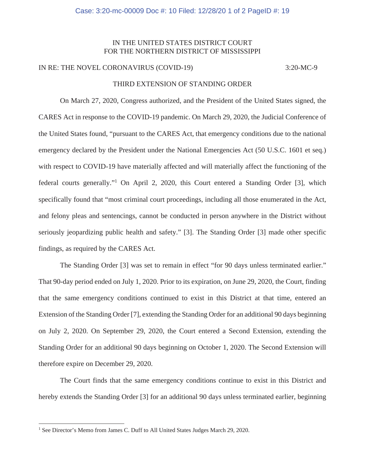## IN THE UNITED STATES DISTRICT COURT FOR THE NORTHERN DISTRICT OF MISSISSIPPI

## IN RE: THE NOVEL CORONAVIRUS (COVID-19) 3:20-MC-9

## THIRD EXTENSION OF STANDING ORDER

On March 27, 2020, Congress authorized, and the President of the United States signed, the CARES Act in response to the COVID-19 pandemic. On March 29, 2020, the Judicial Conference of the United States found, "pursuant to the CARES Act, that emergency conditions due to the national emergency declared by the President under the National Emergencies Act (50 U.S.C. 1601 et seq.) with respect to COVID-19 have materially affected and will materially affect the functioning of the federal courts generally."<sup>1</sup> On April 2, 2020, this Court entered a Standing Order [3], which specifically found that "most criminal court proceedings, including all those enumerated in the Act, and felony pleas and sentencings, cannot be conducted in person anywhere in the District without seriously jeopardizing public health and safety." [3]. The Standing Order [3] made other specific findings, as required by the CARES Act.

The Standing Order [3] was set to remain in effect "for 90 days unless terminated earlier." That 90-day period ended on July 1, 2020. Prior to its expiration, on June 29, 2020, the Court, finding that the same emergency conditions continued to exist in this District at that time, entered an Extension of the Standing Order [7], extending the Standing Order for an additional 90 days beginning on July 2, 2020. On September 29, 2020, the Court entered a Second Extension, extending the Standing Order for an additional 90 days beginning on October 1, 2020. The Second Extension will therefore expire on December 29, 2020.

The Court finds that the same emergency conditions continue to exist in this District and hereby extends the Standing Order [3] for an additional 90 days unless terminated earlier, beginning

<sup>&</sup>lt;sup>1</sup> See Director's Memo from James C. Duff to All United States Judges March 29, 2020.